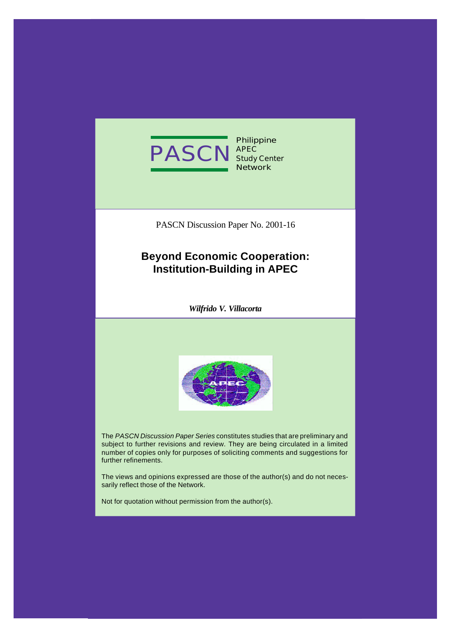

**Philippine APEC Study Center Network**

PASCN Discussion Paper No. 2001-16

# **Beyond Economic Cooperation: Institution-Building in APEC**

*Wilfrido V. Villacorta*



The *PASCN Discussion Paper Series* constitutes studies that are preliminary and subject to further revisions and review. They are being circulated in a limited number of copies only for purposes of soliciting comments and suggestions for further refinements.

The views and opinions expressed are those of the author(s) and do not necessarily reflect those of the Network.

Not for quotation without permission from the author(s).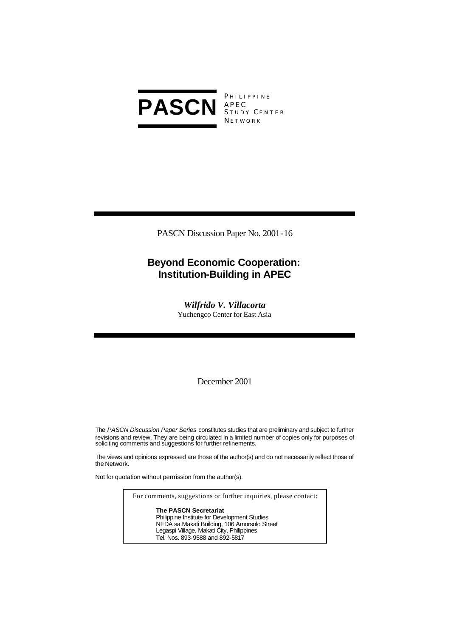

**PHILIPPINE** S TUDY C ENTER **NETWORK** 

PASCN Discussion Paper No. 2001-16

## **Beyond Economic Cooperation: Institution-Building in APEC**

*Wilfrido V. Villacorta* Yuchengco Center for East Asia

December 2001

The *PASCN Discussion Paper Series* constitutes studies that are preliminary and subject to further revisions and review. They are being circulated in a limited number of copies only for purposes of soliciting comments and suggestions for further refinements.

The views and opinions expressed are those of the author(s) and do not necessarily reflect those of the Network.

Not for quotation without permission from the author(s).

For comments, suggestions or further inquiries, please contact:

**The PASCN Secretariat** Philippine Institute for Development Studies NEDA sa Makati Building, 106 Amorsolo Street Legaspi Village, Makati City, Philippines Tel. Nos. 893-9588 and 892-5817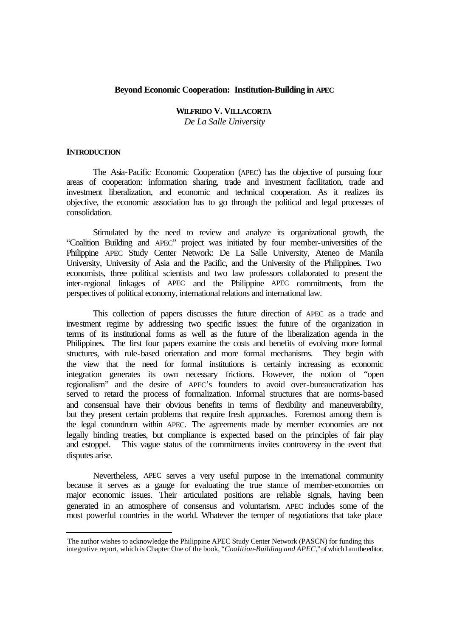#### **Beyond Economic Cooperation: Institution-Building in APEC**

## **WILFRIDO V. VILLACORTA**

*De La Salle University*

#### **INTRODUCTION**

l

The Asia-Pacific Economic Cooperation (APEC) has the objective of pursuing four areas of cooperation: information sharing, trade and investment facilitation, trade and investment liberalization, and economic and technical cooperation. As it realizes its objective, the economic association has to go through the political and legal processes of consolidation.

Stimulated by the need to review and analyze its organizational growth, the "Coalition Building and APEC" project was initiated by four member-universities of the Philippine APEC Study Center Network: De La Salle University, Ateneo de Manila University, University of Asia and the Pacific, and the University of the Philippines. Two economists, three political scientists and two law professors collaborated to present the inter-regional linkages of APEC and the Philippine APEC commitments, from the perspectives of political economy, international relations and international law.

This collection of papers discusses the future direction of APEC as a trade and investment regime by addressing two specific issues: the future of the organization in terms of its institutional forms as well as the future of the liberalization agenda in the Philippines. The first four papers examine the costs and benefits of evolving more formal structures, with rule-based orientation and more formal mechanisms. They begin with the view that the need for formal institutions is certainly increasing as economic integration generates its own necessary frictions. However, the notion of "open regionalism" and the desire of APEC's founders to avoid over-bureaucratization has served to retard the process of formalization. Informal structures that are norms-based and consensual have their obvious benefits in terms of flexibility and maneuverability, but they present certain problems that require fresh approaches. Foremost among them is the legal conundrum within APEC. The agreements made by member economies are not legally binding treaties, but compliance is expected based on the principles of fair play and estoppel. This vague status of the commitments invites controversy in the event that disputes arise.

Nevertheless, APEC serves a very useful purpose in the international community because it serves as a gauge for evaluating the true stance of member-economies on major economic issues. Their articulated positions are reliable signals, having been generated in an atmosphere of consensus and voluntarism. APEC includes some of the most powerful countries in the world. Whatever the temper of negotiations that take place

The author wishes to acknowledge the Philippine APEC Study Center Network (PASCN) for funding this integrative report, which is Chapter One of the book, "*Coalition-Building and APEC,*" of which I am the editor.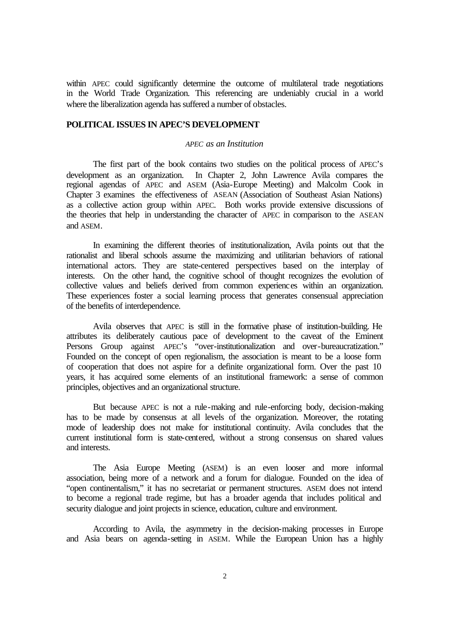within APEC could significantly determine the outcome of multilateral trade negotiations in the World Trade Organization. This referencing are undeniably crucial in a world where the liberalization agenda has suffered a number of obstacles.

## **POLITICAL ISSUES IN APEC'S DEVELOPMENT**

### *APEC as an Institution*

The first part of the book contains two studies on the political process of APEC's development as an organization. In Chapter 2, John Lawrence Avila compares the regional agendas of APEC and ASEM (Asia-Europe Meeting) and Malcolm Cook in Chapter 3 examines the effectiveness of ASEAN (Association of Southeast Asian Nations) as a collective action group within APEC. Both works provide extensive discussions of the theories that help in understanding the character of APEC in comparison to the ASEAN and ASEM.

In examining the different theories of institutionalization, Avila points out that the rationalist and liberal schools assume the maximizing and utilitarian behaviors of rational international actors. They are state-centered perspectives based on the interplay of interests. On the other hand, the cognitive school of thought recognizes the evolution of collective values and beliefs derived from common experiences within an organization. These experiences foster a social learning process that generates consensual appreciation of the benefits of interdependence.

Avila observes that APEC is still in the formative phase of institution-building. He attributes its deliberately cautious pace of development to the caveat of the Eminent Persons Group against APEC's "over-institutionalization and over-bureaucratization." Founded on the concept of open regionalism, the association is meant to be a loose form of cooperation that does not aspire for a definite organizational form. Over the past 10 years, it has acquired some elements of an institutional framework: a sense of common principles, objectives and an organizational structure.

But because APEC is not a rule-making and rule-enforcing body, decision-making has to be made by consensus at all levels of the organization. Moreover, the rotating mode of leadership does not make for institutional continuity. Avila concludes that the current institutional form is state-centered, without a strong consensus on shared values and interests.

The Asia Europe Meeting (ASEM) is an even looser and more informal association, being more of a network and a forum for dialogue. Founded on the idea of "open continentalism," it has no secretariat or permanent structures. ASEM does not intend to become a regional trade regime, but has a broader agenda that includes political and security dialogue and joint projects in science, education, culture and environment.

According to Avila, the asymmetry in the decision-making processes in Europe and Asia bears on agenda-setting in ASEM. While the European Union has a highly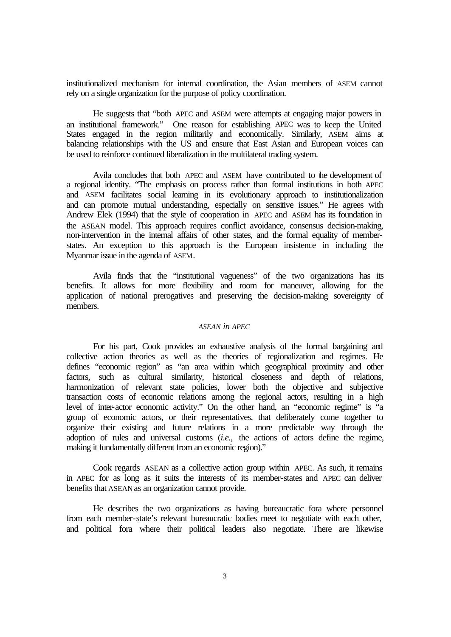institutionalized mechanism for internal coordination, the Asian members of ASEM cannot rely on a single organization for the purpose of policy coordination.

He suggests that "both APEC and ASEM were attempts at engaging major powers in an institutional framework." One reason for establishing APEC was to keep the United States engaged in the region militarily and economically. Similarly, ASEM aims at balancing relationships with the US and ensure that East Asian and European voices can be used to reinforce continued liberalization in the multilateral trading system.

Avila concludes that both APEC and ASEM have contributed to the development of a regional identity. "The emphasis on process rather than formal institutions in both APEC and ASEM facilitates social learning in its evolutionary approach to institutionalization and can promote mutual understanding, especially on sensitive issues." He agrees with Andrew Elek (1994) that the style of cooperation in APEC and ASEM has its foundation in the ASEAN model. This approach requires conflict avoidance, consensus decision-making, non-intervention in the internal affairs of other states, and the formal equality of memberstates. An exception to this approach is the European insistence in including the Myanmar issue in the agenda of ASEM.

Avila finds that the "institutional vagueness" of the two organizations has its benefits. It allows for more flexibility and room for maneuver, allowing for the application of national prerogatives and preserving the decision-making sovereignty of members.

### *ASEAN in APEC*

For his part, Cook provides an exhaustive analysis of the formal bargaining and collective action theories as well as the theories of regionalization and regimes. He defines "economic region" as "an area within which geographical proximity and other factors, such as cultural similarity, historical closeness and depth of relations, harmonization of relevant state policies, lower both the objective and subjective transaction costs of economic relations among the regional actors, resulting in a high level of inter-actor economic activity." On the other hand, an "economic regime" is "a group of economic actors, or their representatives, that deliberately come together to organize their existing and future relations in a more predictable way through the adoption of rules and universal customs (*i.e.,* the actions of actors define the regime, making it fundamentally different from an economic region)."

Cook regards ASEAN as a collective action group within APEC. As such, it remains in APEC for as long as it suits the interests of its member-states and APEC can deliver benefits that ASEAN as an organization cannot provide.

He describes the two organizations as having bureaucratic fora where personnel from each member-state's relevant bureaucratic bodies meet to negotiate with each other, and political fora where their political leaders also negotiate. There are likewise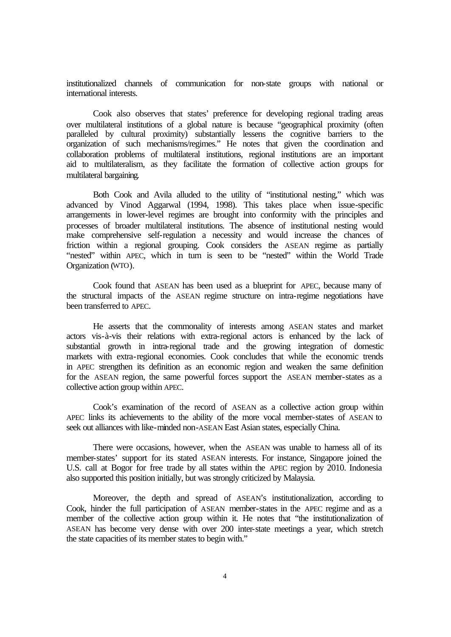institutionalized channels of communication for non-state groups with national or international interests.

Cook also observes that states' preference for developing regional trading areas over multilateral institutions of a global nature is because "geographical proximity (often paralleled by cultural proximity) substantially lessens the cognitive barriers to the organization of such mechanisms/regimes." He notes that given the coordination and collaboration problems of multilateral institutions, regional institutions are an important aid to multilateralism, as they facilitate the formation of collective action groups for multilateral bargaining.

Both Cook and Avila alluded to the utility of "institutional nesting," which was advanced by Vinod Aggarwal (1994, 1998). This takes place when issue-specific arrangements in lower-level regimes are brought into conformity with the principles and processes of broader multilateral institutions. The absence of institutional nesting would make comprehensive self-regulation a necessity and would increase the chances of friction within a regional grouping. Cook considers the ASEAN regime as partially "nested" within APEC, which in turn is seen to be "nested" within the World Trade Organization (WTO).

Cook found that ASEAN has been used as a blueprint for APEC, because many of the structural impacts of the ASEAN regime structure on intra-regime negotiations have been transferred to APEC.

He asserts that the commonality of interests among ASEAN states and market actors vis-à-vis their relations with extra-regional actors is enhanced by the lack of substantial growth in intra-regional trade and the growing integration of domestic markets with extra-regional economies. Cook concludes that while the economic trends in APEC strengthen its definition as an economic region and weaken the same definition for the ASEAN region, the same powerful forces support the ASEAN member-states as a collective action group within APEC.

Cook's examination of the record of ASEAN as a collective action group within APEC links its achievements to the ability of the more vocal member-states of ASEAN to seek out alliances with like-minded non-ASEAN East Asian states, especially China.

There were occasions, however, when the ASEAN was unable to harness all of its member-states' support for its stated ASEAN interests. For instance, Singapore joined the U.S. call at Bogor for free trade by all states within the APEC region by 2010. Indonesia also supported this position initially, but was strongly criticized by Malaysia.

Moreover, the depth and spread of ASEAN's institutionalization, according to Cook, hinder the full participation of ASEAN member-states in the APEC regime and as a member of the collective action group within it. He notes that "the institutionalization of ASEAN has become very dense with over 200 inter-state meetings a year, which stretch the state capacities of its member states to begin with."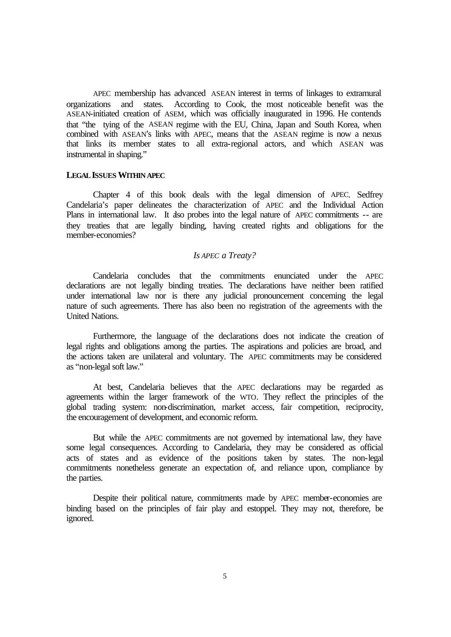APEC membership has advanced ASEAN interest in terms of linkages to extramural organizations and states. According to Cook, the most noticeable benefit was the ASEAN-initiated creation of ASEM, which was officially inaugurated in 1996. He contends that "the tying of the ASEAN regime with the EU, China, Japan and South Korea, when combined with ASEAN's links with APEC, means that the ASEAN regime is now a nexus that links its member states to all extra-regional actors, and which ASEAN was instrumental in shaping."

#### **LEGAL ISSUES WITHIN APEC**

Chapter 4 of this book deals with the legal dimension of APEC. Sedfrey Candelaria's paper delineates the characterization of APEC and the Individual Action Plans in international law. It also probes into the legal nature of APEC commitments -- are they treaties that are legally binding, having created rights and obligations for the member-economies?

## *Is APEC a Treaty?*

Candelaria concludes that the commitments enunciated under the APEC declarations are not legally binding treaties. The declarations have neither been ratified under international law nor is there any judicial pronouncement concerning the legal nature of such agreements. There has also been no registration of the agreements with the United Nations.

Furthermore, the language of the declarations does not indicate the creation of legal rights and obligations among the parties. The aspirations and policies are broad, and the actions taken are unilateral and voluntary. The APEC commitments may be considered as "non-legal soft law."

At best, Candelaria believes that the APEC declarations may be regarded as agreements within the larger framework of the WTO. They reflect the principles of the global trading system: non-discrimination, market access, fair competition, reciprocity, the encouragement of development, and economic reform.

But while the APEC commitments are not governed by international law, they have some legal consequences. According to Candelaria, they may be considered as official acts of states and as evidence of the positions taken by states. The non-legal commitments nonetheless generate an expectation of, and reliance upon, compliance by the parties.

Despite their political nature, commitments made by APEC member-economies are binding based on the principles of fair play and estoppel. They may not, therefore, be ignored.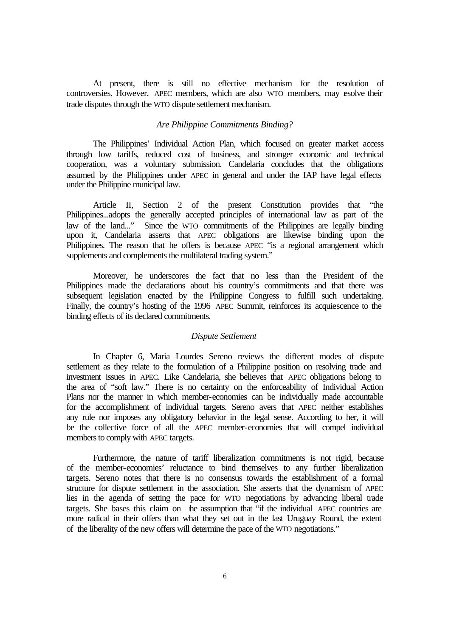At present, there is still no effective mechanism for the resolution of controversies. However, APEC members, which are also WTO members, may resolve their trade disputes through the WTO dispute settlement mechanism.

## *Are Philippine Commitments Binding?*

The Philippines' Individual Action Plan, which focused on greater market access through low tariffs, reduced cost of business, and stronger economic and technical cooperation, was a voluntary submission. Candelaria concludes that the obligations assumed by the Philippines under APEC in general and under the IAP have legal effects under the Philippine municipal law.

Article II, Section 2 of the present Constitution provides that "the Philippines...adopts the generally accepted principles of international law as part of the law of the land..." Since the WTO commitments of the Philippines are legally binding upon it, Candelaria asserts that APEC obligations are likewise binding upon the Philippines. The reason that he offers is because APEC "is a regional arrangement which supplements and complements the multilateral trading system."

Moreover, he underscores the fact that no less than the President of the Philippines made the declarations about his country's commitments and that there was subsequent legislation enacted by the Philippine Congress to fulfill such undertaking. Finally, the country's hosting of the 1996 APEC Summit, reinforces its acquiescence to the binding effects of its declared commitments.

### *Dispute Settlement*

In Chapter 6, Maria Lourdes Sereno reviews the different modes of dispute settlement as they relate to the formulation of a Philippine position on resolving trade and investment issues in APEC. Like Candelaria, she believes that APEC obligations belong to the area of "soft law." There is no certainty on the enforceability of Individual Action Plans nor the manner in which member-economies can be individually made accountable for the accomplishment of individual targets. Sereno avers that APEC neither establishes any rule nor imposes any obligatory behavior in the legal sense. According to her, it will be the collective force of all the APEC member-economies that will compel individual members to comply with APEC targets.

Furthermore, the nature of tariff liberalization commitments is not rigid, because of the member-economies' reluctance to bind themselves to any further liberalization targets. Sereno notes that there is no consensus towards the establishment of a formal structure for dispute settlement in the association. She asserts that the dynamism of APEC lies in the agenda of setting the pace for WTO negotiations by advancing liberal trade targets. She bases this claim on the assumption that "if the individual APEC countries are more radical in their offers than what they set out in the last Uruguay Round, the extent of the liberality of the new offers will determine the pace of the WTO negotiations."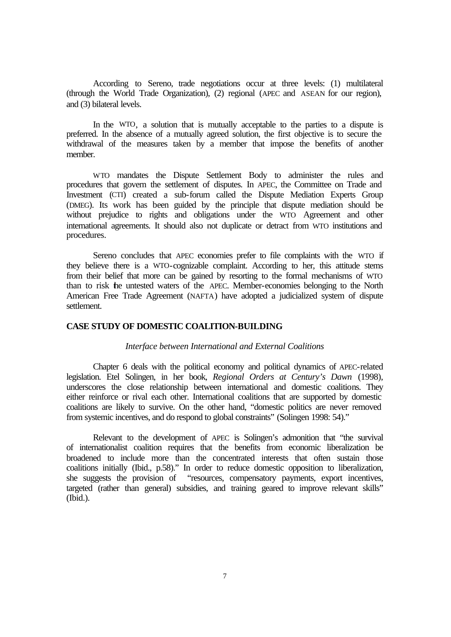According to Sereno, trade negotiations occur at three levels: (1) multilateral (through the World Trade Organization), (2) regional (APEC and ASEAN for our region), and (3) bilateral levels.

In the WTO, a solution that is mutually acceptable to the parties to a dispute is preferred. In the absence of a mutually agreed solution, the first objective is to secure the withdrawal of the measures taken by a member that impose the benefits of another member.

WTO mandates the Dispute Settlement Body to administer the rules and procedures that govern the settlement of disputes. In APEC, the Committee on Trade and Investment (CTI) created a sub-forum called the Dispute Mediation Experts Group (DMEG). Its work has been guided by the principle that dispute mediation should be without prejudice to rights and obligations under the WTO Agreement and other international agreements. It should also not duplicate or detract from WTO institutions and procedures.

Sereno concludes that APEC economies prefer to file complaints with the WTO if they believe there is a WTO-cognizable complaint. According to her, this attitude stems from their belief that more can be gained by resorting to the formal mechanisms of WTO than to risk the untested waters of the APEC. Member-economies belonging to the North American Free Trade Agreement (NAFTA) have adopted a judicialized system of dispute settlement.

## **CASE STUDY OF DOMESTIC COALITION-BUILDING**

#### *Interface between International and External Coalitions*

Chapter 6 deals with the political economy and political dynamics of APEC-related legislation. Etel Solingen, in her book, *Regional Orders at Century's Dawn* (1998), underscores the close relationship between international and domestic coalitions. They either reinforce or rival each other. International coalitions that are supported by domestic coalitions are likely to survive. On the other hand, "domestic politics are never removed from systemic incentives, and do respond to global constraints" (Solingen 1998: 54)."

Relevant to the development of APEC is Solingen's admonition that "the survival of internationalist coalition requires that the benefits from economic liberalization be broadened to include more than the concentrated interests that often sustain those coalitions initially (Ibid., p.58)." In order to reduce domestic opposition to liberalization, she suggests the provision of "resources, compensatory payments, export incentives, targeted (rather than general) subsidies, and training geared to improve relevant skills" (Ibid.).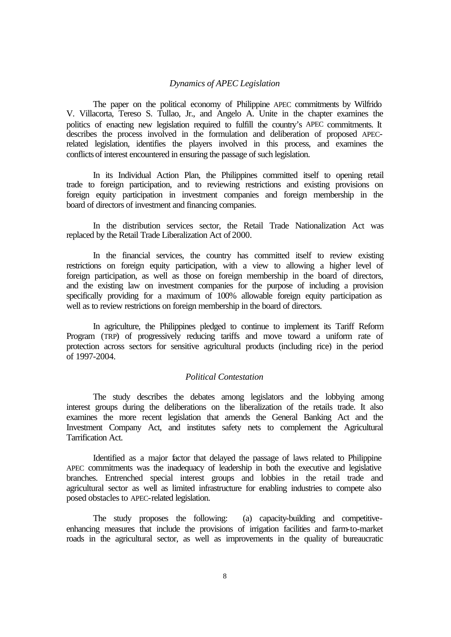## *Dynamics of APEC Legislation*

The paper on the political economy of Philippine APEC commitments by Wilfrido V. Villacorta, Tereso S. Tullao, Jr., and Angelo A. Unite in the chapter examines the politics of enacting new legislation required to fulfill the country's APEC commitments. It describes the process involved in the formulation and deliberation of proposed APECrelated legislation, identifies the players involved in this process, and examines the conflicts of interest encountered in ensuring the passage of such legislation.

In its Individual Action Plan, the Philippines committed itself to opening retail trade to foreign participation, and to reviewing restrictions and existing provisions on foreign equity participation in investment companies and foreign membership in the board of directors of investment and financing companies.

In the distribution services sector, the Retail Trade Nationalization Act was replaced by the Retail Trade Liberalization Act of 2000.

In the financial services, the country has committed itself to review existing restrictions on foreign equity participation, with a view to allowing a higher level of foreign participation, as well as those on foreign membership in the board of directors, and the existing law on investment companies for the purpose of including a provision specifically providing for a maximum of 100% allowable foreign equity participation as well as to review restrictions on foreign membership in the board of directors.

In agriculture, the Philippines pledged to continue to implement its Tariff Reform Program (TRP) of progressively reducing tariffs and move toward a uniform rate of protection across sectors for sensitive agricultural products (including rice) in the period of 1997-2004.

## *Political Contestation*

The study describes the debates among legislators and the lobbying among interest groups during the deliberations on the liberalization of the retails trade. It also examines the more recent legislation that amends the General Banking Act and the Investment Company Act, and institutes safety nets to complement the Agricultural Tarrification Act.

Identified as a major factor that delayed the passage of laws related to Philippine APEC commitments was the inadequacy of leadership in both the executive and legislative branches. Entrenched special interest groups and lobbies in the retail trade and agricultural sector as well as limited infrastructure for enabling industries to compete also posed obstacles to APEC-related legislation.

The study proposes the following: (a) capacity-building and competitiveenhancing measures that include the provisions of irrigation facilities and farm-to-market roads in the agricultural sector, as well as improvements in the quality of bureaucratic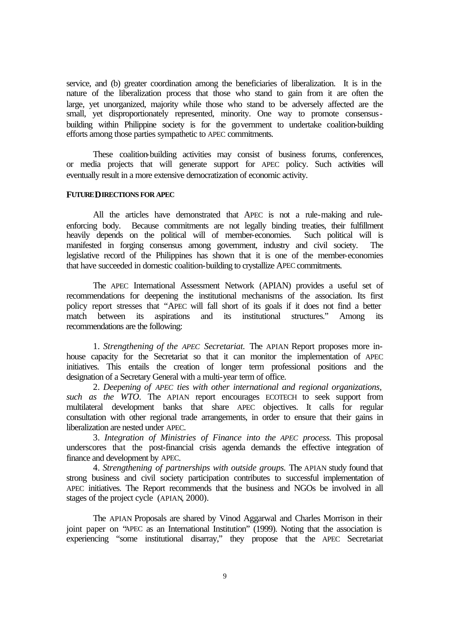service, and (b) greater coordination among the beneficiaries of liberalization. It is in the nature of the liberalization process that those who stand to gain from it are often the large, yet unorganized, majority while those who stand to be adversely affected are the small, yet disproportionately represented, minority. One way to promote consensusbuilding within Philippine society is for the government to undertake coalition-building efforts among those parties sympathetic to APEC commitments.

These coalition-building activities may consist of business forums, conferences, or media projects that will generate support for APEC policy. Such activities will eventually result in a more extensive democratization of economic activity.

#### **FUTURE DIRECTIONS FOR APEC**

All the articles have demonstrated that APEC is not a rule-making and ruleenforcing body. Because commitments are not legally binding treaties, their fulfillment heavily depends on the political will of member-economies. Such political will is manifested in forging consensus among government, industry and civil society. The legislative record of the Philippines has shown that it is one of the member-economies that have succeeded in domestic coalition-building to crystallize APEC commitments.

The APEC International Assessment Network (APIAN) provides a useful set of recommendations for deepening the institutional mechanisms of the association. Its first policy report stresses that "APEC will fall short of its goals if it does not find a better match between its aspirations and its institutional structures." Among its recommendations are the following:

1. *Strengthening of the APEC Secretariat.* The APIAN Report proposes more inhouse capacity for the Secretariat so that it can monitor the implementation of APEC initiatives. This entails the creation of longer term professional positions and the designation of a Secretary General with a multi-year term of office.

2. *Deepening of APEC ties with other international and regional organizations, such as the WTO*. The APIAN report encourages ECOTECH to seek support from multilateral development banks that share APEC objectives. It calls for regular consultation with other regional trade arrangements, in order to ensure that their gains in liberalization are nested under APEC.

3. *Integration of Ministries of Finance into the APEC process.* This proposal underscores that the post-financial crisis agenda demands the effective integration of finance and development by APEC.

4. *Strengthening of partnerships with outside groups.* The APIAN study found that strong business and civil society participation contributes to successful implementation of APEC initiatives. The Report recommends that the business and NGOs be involved in all stages of the project cycle (APIAN, 2000).

The APIAN Proposals are shared by Vinod Aggarwal and Charles Morrison in their joint paper on "APEC as an International Institution" (1999). Noting that the association is experiencing "some institutional disarray," they propose that the APEC Secretariat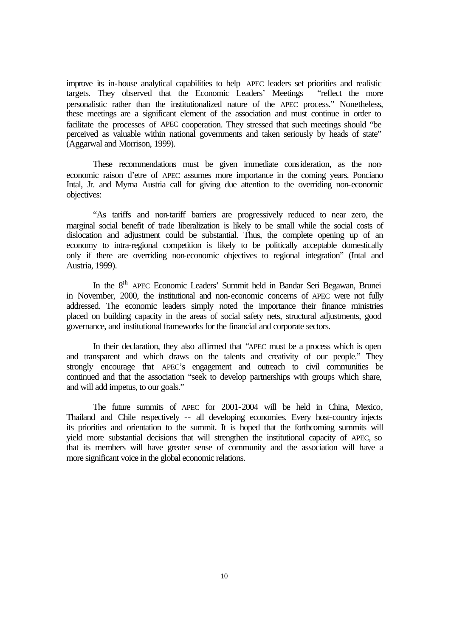improve its in-house analytical capabilities to help APEC leaders set priorities and realistic targets. They observed that the Economic Leaders' Meetings "reflect the more personalistic rather than the institutionalized nature of the APEC process." Nonetheless, these meetings are a significant element of the association and must continue in order to facilitate the processes of APEC cooperation. They stressed that such meetings should "be perceived as valuable within national governments and taken seriously by heads of state" (Aggarwal and Morrison, 1999).

These recommendations must be given immediate consideration, as the noneconomic raison d'etre of APEC assumes more importance in the coming years. Ponciano Intal, Jr. and Myrna Austria call for giving due attention to the overriding non-economic objectives:

"As tariffs and non-tariff barriers are progressively reduced to near zero, the marginal social benefit of trade liberalization is likely to be small while the social costs of dislocation and adjustment could be substantial. Thus, the complete opening up of an economy to intra-regional competition is likely to be politically acceptable domestically only if there are overriding non-economic objectives to regional integration" (Intal and Austria, 1999).

In the 8<sup>th</sup> APEC Economic Leaders' Summit held in Bandar Seri Begawan, Brunei in November, 2000, the institutional and non-economic concerns of APEC were not fully addressed. The economic leaders simply noted the importance their finance ministries placed on building capacity in the areas of social safety nets, structural adjustments, good governance, and institutional frameworks for the financial and corporate sectors.

In their declaration, they also affirmed that "APEC must be a process which is open and transparent and which draws on the talents and creativity of our people." They strongly encourage that APEC's engagement and outreach to civil communities be continued and that the association "seek to develop partnerships with groups which share, and will add impetus, to our goals."

The future summits of APEC for 2001-2004 will be held in China, Mexico, Thailand and Chile respectively -- all developing economies. Every host-country injects its priorities and orientation to the summit. It is hoped that the forthcoming summits will yield more substantial decisions that will strengthen the institutional capacity of APEC, so that its members will have greater sense of community and the association will have a more significant voice in the global economic relations.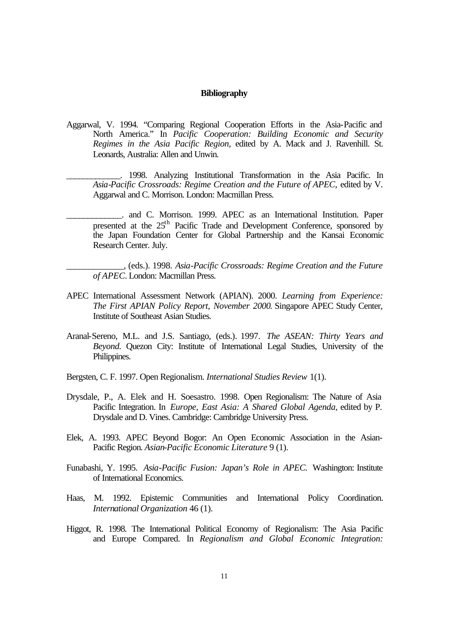#### **Bibliography**

- Aggarwal, V. 1994. "Comparing Regional Cooperation Efforts in the Asia-Pacific and North America." In *Pacific Cooperation: Building Economic and Security Regimes in the Asia Pacific Region,* edited by A. Mack and J. Ravenhill. St. Leonards, Australia: Allen and Unwin.
	- \_\_\_\_\_\_\_\_\_\_\_\_\_. 1998. Analyzing Institutional Transformation in the Asia Pacific. In *Asia-Pacific Crossroads: Regime Creation and the Future of APEC,* edited by V. Aggarwal and C. Morrison. London: Macmillan Press.
	- \_\_\_\_\_\_\_\_\_\_\_\_\_. and C. Morrison. 1999. APEC as an International Institution. Paper presented at the  $25<sup>th</sup>$  Pacific Trade and Development Conference, sponsored by the Japan Foundation Center for Global Partnership and the Kansai Economic Research Center. July.
	- \_\_\_\_\_\_\_\_\_\_\_\_\_, (eds.). 1998. *Asia-Pacific Crossroads: Regime Creation and the Future of APEC.* London: Macmillan Press.
- APEC International Assessment Network (APIAN). 2000. *Learning from Experience: The First APIAN Policy Report, November 2000*. Singapore APEC Study Center, Institute of Southeast Asian Studies.
- Aranal-Sereno, M.L. and J.S. Santiago, (eds.). 1997. *The ASEAN: Thirty Years and Beyond.* Quezon City: Institute of International Legal Studies, University of the Philippines.
- Bergsten, C. F. 1997. Open Regionalism. *International Studies Review* 1(1).
- Drysdale, P., A. Elek and H. Soesastro. 1998. Open Regionalism: The Nature of Asia Pacific Integration. In *Europe, East Asia: A Shared Global Agenda,* edited by P. Drysdale and D. Vines. Cambridge: Cambridge University Press.
- Elek, A. 1993. APEC Beyond Bogor: An Open Economic Association in the Asian-Pacific Region. *Asian-Pacific Economic Literature* 9 (1).
- Funabashi, Y. 1995. *Asia-Pacific Fusion: Japan's Role in APEC.* Washington: Institute of International Economics.
- Haas, M. 1992. Epistemic Communities and International Policy Coordination. *International Organization* 46 (1).
- Higgot, R. 1998. The International Political Economy of Regionalism: The Asia Pacific and Europe Compared. In *Regionalism and Global Economic Integration:*